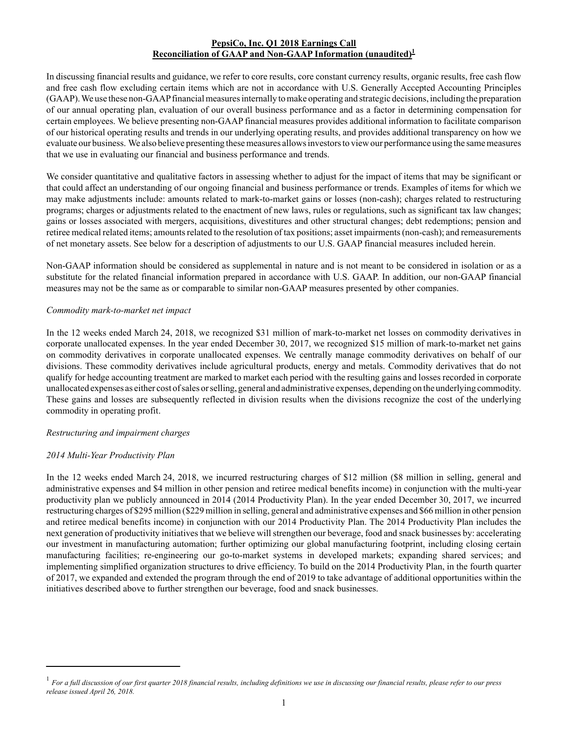# **PepsiCo, Inc. Q1 2018 Earnings Call Reconciliation of GAAP and Non-GAAP Information (unaudited)<sup>1</sup>**

In discussing financial results and guidance, we refer to core results, core constant currency results, organic results, free cash flow and free cash flow excluding certain items which are not in accordance with U.S. Generally Accepted Accounting Principles (GAAP). We use these non-GAAPfinancial measures internally to make operating and strategic decisions, including the preparation of our annual operating plan, evaluation of our overall business performance and as a factor in determining compensation for certain employees. We believe presenting non-GAAPfinancial measures provides additional information to facilitate comparison of our historical operating results and trends in our underlying operating results, and provides additional transparency on how we evaluate our business. We also believe presenting these measures allows investors to view our performance using the same measures that we use in evaluating our financial and business performance and trends.

We consider quantitative and qualitative factors in assessing whether to adjust for the impact of items that may be significant or that could affect an understanding of our ongoing financial and business performance or trends. Examples of items for which we may make adjustments include: amounts related to mark-to-market gains or losses (non-cash); charges related to restructuring programs; charges or adjustments related to the enactment of new laws, rules or regulations, such as significant tax law changes; gains or losses associated with mergers, acquisitions, divestitures and other structural changes; debt redemptions; pension and retiree medical related items; amounts related to the resolution of tax positions; asset impairments (non-cash); and remeasurements of net monetary assets. See below for a description of adjustments to our U.S. GAAP financial measures included herein.

Non-GAAP information should be considered as supplemental in nature and is not meant to be considered in isolation or as a substitute for the related financial information prepared in accordance with U.S. GAAP. In addition, our non-GAAP financial measures may not be the same as or comparable to similar non-GAAP measures presented by other companies.

## *Commodity mark-to-market net impact*

In the 12 weeks ended March 24, 2018, we recognized \$31 million of mark-to-market net losses on commodity derivatives in corporate unallocated expenses. In the year ended December 30, 2017, we recognized \$15 million of mark-to-market net gains on commodity derivatives in corporate unallocated expenses. We centrally manage commodity derivatives on behalf of our divisions. These commodity derivatives include agricultural products, energy and metals. Commodity derivatives that do not qualify for hedge accounting treatment are marked to market each period with the resulting gains and losses recorded in corporate unallocated expenses as either cost of sales or selling, general and administrative expenses, depending on the underlying commodity. These gains and losses are subsequently reflected in division results when the divisions recognize the cost of the underlying commodity in operating profit.

## *Restructuring and impairment charges*

## *2014 Multi-Year Productivity Plan*

In the 12 weeks ended March 24, 2018, we incurred restructuring charges of \$12 million (\$8 million in selling, general and administrative expenses and \$4 million in other pension and retiree medical benefits income) in conjunction with the multi-year productivity plan we publicly announced in 2014 (2014 Productivity Plan). In the year ended December 30, 2017, we incurred restructuring charges of \$295 million (\$229 million in selling, general and administrative expenses and \$66 million in other pension and retiree medical benefits income) in conjunction with our 2014 Productivity Plan. The 2014 Productivity Plan includes the next generation of productivity initiatives that we believe will strengthen our beverage, food and snack businesses by: accelerating our investment in manufacturing automation; further optimizing our global manufacturing footprint, including closing certain manufacturing facilities; re-engineering our go-to-market systems in developed markets; expanding shared services; and implementing simplified organization structures to drive efficiency. To build on the 2014 Productivity Plan, in the fourth quarter of 2017, we expanded and extended the program through the end of 2019 to take advantage of additional opportunities within the initiatives described above to further strengthen our beverage, food and snack businesses.

<sup>1</sup> *For a full discussion of our first quarter 2018 financial results, including definitions we use in discussing our financial results, please refer to our press release issued April 26, 2018.*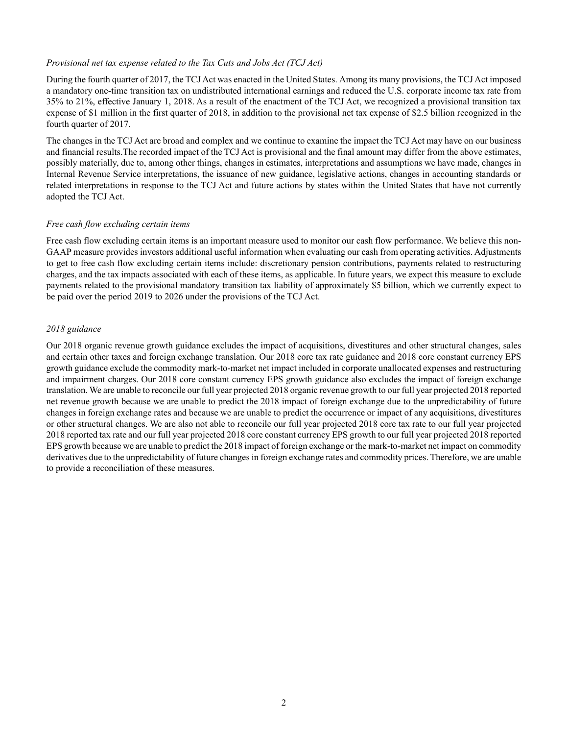## *Provisional net tax expense related to the Tax Cuts and Jobs Act (TCJ Act)*

During the fourth quarter of 2017, the TCJ Act was enacted in the United States. Among its many provisions, the TCJ Act imposed a mandatory one-time transition tax on undistributed international earnings and reduced the U.S. corporate income tax rate from 35% to 21%, effective January 1, 2018. As a result of the enactment of the TCJ Act, we recognized a provisional transition tax expense of \$1 million in the first quarter of 2018, in addition to the provisional net tax expense of \$2.5 billion recognized in the fourth quarter of 2017.

The changes in the TCJ Act are broad and complex and we continue to examine the impact the TCJ Act may have on our business and financial results.The recorded impact of the TCJ Act is provisional and the final amount may differ from the above estimates, possibly materially, due to, among other things, changes in estimates, interpretations and assumptions we have made, changes in Internal Revenue Service interpretations, the issuance of new guidance, legislative actions, changes in accounting standards or related interpretations in response to the TCJ Act and future actions by states within the United States that have not currently adopted the TCJ Act.

## *Free cash flow excluding certain items*

Free cash flow excluding certain items is an important measure used to monitor our cash flow performance. We believe this non-GAAP measure provides investors additional useful information when evaluating our cash from operating activities. Adjustments to get to free cash flow excluding certain items include: discretionary pension contributions, payments related to restructuring charges, and the tax impacts associated with each of these items, as applicable. In future years, we expect this measure to exclude payments related to the provisional mandatory transition tax liability of approximately \$5 billion, which we currently expect to be paid over the period 2019 to 2026 under the provisions of the TCJ Act.

## *2018 guidance*

Our 2018 organic revenue growth guidance excludes the impact of acquisitions, divestitures and other structural changes, sales and certain other taxes and foreign exchange translation. Our 2018 core tax rate guidance and 2018 core constant currency EPS growth guidance exclude the commodity mark-to-market net impact included in corporate unallocated expenses and restructuring and impairment charges. Our 2018 core constant currency EPS growth guidance also excludes the impact of foreign exchange translation. We are unable to reconcile our full year projected 2018 organic revenue growth to our full year projected 2018 reported net revenue growth because we are unable to predict the 2018 impact of foreign exchange due to the unpredictability of future changes in foreign exchange rates and because we are unable to predict the occurrence or impact of any acquisitions, divestitures or other structural changes. We are also not able to reconcile our full year projected 2018 core tax rate to our full year projected 2018 reported tax rate and our full year projected 2018 core constant currency EPS growth to our full year projected 2018 reported EPS growth because we are unable to predict the 2018 impact of foreign exchange or the mark-to-market net impact on commodity derivatives due to the unpredictability of future changes in foreign exchange rates and commodity prices. Therefore, we are unable to provide a reconciliation of these measures.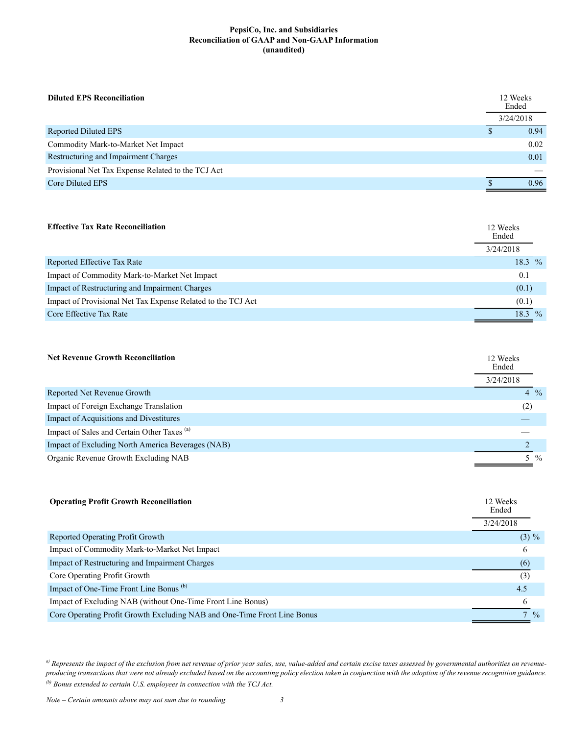### **PepsiCo, Inc. and Subsidiaries Reconciliation of GAAP and Non-GAAP Information (unaudited)**

| <b>Diluted EPS Reconciliation</b>                  | 12 Weeks<br>Ended |      |
|----------------------------------------------------|-------------------|------|
|                                                    | 3/24/2018         |      |
| Reported Diluted EPS                               | S                 | 0.94 |
| Commodity Mark-to-Market Net Impact                |                   | 0.02 |
| Restructuring and Impairment Charges               |                   | 0.01 |
| Provisional Net Tax Expense Related to the TCJ Act |                   |      |
| Core Diluted EPS                                   |                   | 0.96 |

## **Effective Tax Rate Reconciliation** 12 Weeks

|                                                              | Ended     |               |
|--------------------------------------------------------------|-----------|---------------|
|                                                              | 3/24/2018 |               |
| Reported Effective Tax Rate                                  | 18.3 $%$  |               |
| Impact of Commodity Mark-to-Market Net Impact                | 0.1       |               |
| Impact of Restructuring and Impairment Charges               | (0.1)     |               |
| Impact of Provisional Net Tax Expense Related to the TCJ Act | (0.1)     |               |
| Core Effective Tax Rate                                      | 18.3      | $\frac{0}{0}$ |

| <b>Net Revenue Growth Reconciliation</b>               | 12 Weeks<br>Ended |  |
|--------------------------------------------------------|-------------------|--|
|                                                        | 3/24/2018         |  |
| Reported Net Revenue Growth                            | $4\frac{9}{6}$    |  |
| Impact of Foreign Exchange Translation                 | (2)               |  |
| Impact of Acquisitions and Divestitures                |                   |  |
| Impact of Sales and Certain Other Taxes <sup>(a)</sup> |                   |  |
| Impact of Excluding North America Beverages (NAB)      |                   |  |
| Organic Revenue Growth Excluding NAB                   | 5 %               |  |

| <b>Operating Profit Growth Reconciliation</b>                            | 12 Weeks<br>Ended<br>3/24/2018 |
|--------------------------------------------------------------------------|--------------------------------|
| Reported Operating Profit Growth                                         | $(3) \%$                       |
| Impact of Commodity Mark-to-Market Net Impact                            | 6                              |
| Impact of Restructuring and Impairment Charges                           | (6)                            |
| Core Operating Profit Growth                                             | (3)                            |
| Impact of One-Time Front Line Bonus <sup>(b)</sup>                       | 4.5                            |
| Impact of Excluding NAB (without One-Time Front Line Bonus)              |                                |
| Core Operating Profit Growth Excluding NAB and One-Time Front Line Bonus | $7\frac{9}{6}$                 |

<sup>a)</sup> Represents the impact of the exclusion from net revenue of prior year sales, use, value-added and certain excise taxes assessed by governmental authorities on revenue*producing transactions that were not already excluded based on the accounting policy election taken in conjunction with the adoption of the revenue recognition guidance. (b) Bonus extended to certain U.S. employees in connection with the TCJ Act.*

*Note – Certain amounts above may not sum due to rounding. 3*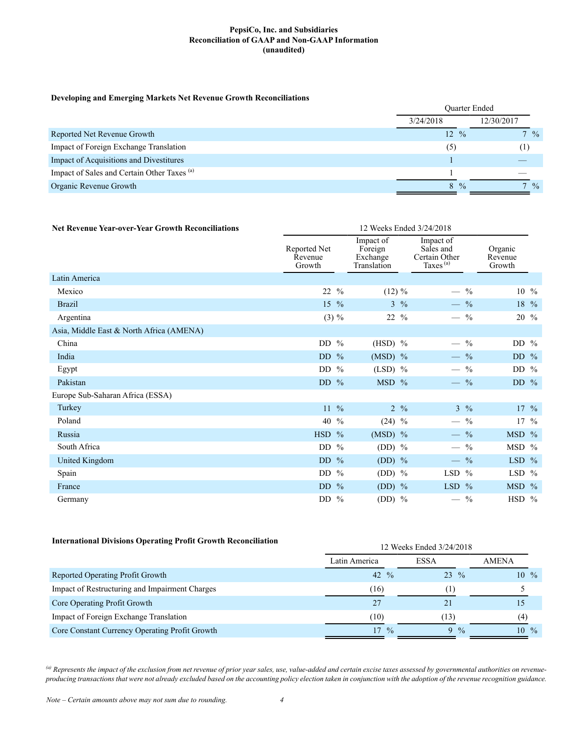### **PepsiCo, Inc. and Subsidiaries Reconciliation of GAAP and Non-GAAP Information (unaudited)**

#### **Developing and Emerging Markets Net Revenue Growth Reconciliations**

| $\overline{\phantom{a}}$<br>- -                        | <b>Ouarter Ended</b> |               |                 |  |
|--------------------------------------------------------|----------------------|---------------|-----------------|--|
|                                                        | 3/24/2018            |               | 12/30/2017      |  |
| Reported Net Revenue Growth                            | $12 \frac{9}{6}$     |               | $7 \frac{0}{0}$ |  |
| Impact of Foreign Exchange Translation                 | (5)                  |               | (1)             |  |
| Impact of Acquisitions and Divestitures                |                      |               |                 |  |
| Impact of Sales and Certain Other Taxes <sup>(a)</sup> |                      |               |                 |  |
| Organic Revenue Growth                                 | 8.                   | $\frac{0}{0}$ | $\frac{9}{6}$   |  |

| <b>Net Revenue Year-over-Year Growth Reconciliations</b> | 12 Weeks Ended 3/24/2018          |                                                                                                                    |                 |                              |         |                  |
|----------------------------------------------------------|-----------------------------------|--------------------------------------------------------------------------------------------------------------------|-----------------|------------------------------|---------|------------------|
|                                                          | Reported Net<br>Revenue<br>Growth | Impact of<br>Impact of<br>Sales and<br>Foreign<br>Certain Other<br>Exchange<br>Taxes <sup>(a)</sup><br>Translation |                 | Organic<br>Revenue<br>Growth |         |                  |
| Latin America                                            |                                   |                                                                                                                    |                 |                              |         |                  |
| Mexico                                                   | 22 %                              | $(12) \%$                                                                                                          | $\qquad \qquad$ | $\frac{0}{0}$                |         | $10 \frac{9}{6}$ |
| <b>Brazil</b>                                            | $15 \frac{9}{6}$                  | $3 \frac{9}{6}$                                                                                                    |                 | $-$ %                        |         | 18 %             |
| Argentina                                                | $(3) \%$                          | $22 \frac{9}{6}$                                                                                                   |                 | $\frac{0}{0}$                |         | 20 %             |
| Asia, Middle East & North Africa (AMENA)                 |                                   |                                                                                                                    |                 |                              |         |                  |
| China                                                    | DD $%$                            | $(HSD)$ %                                                                                                          |                 | $-$ %                        | DD $\%$ |                  |
| India                                                    | DD $%$                            | $(MSD)$ %                                                                                                          |                 | $-$ %                        | DD $\%$ |                  |
| Egypt                                                    | DD $%$                            | $(LSD)$ %                                                                                                          |                 | $-$ %                        | DD $\%$ |                  |
| Pakistan                                                 | DD $%$                            | MSD %                                                                                                              |                 | $-$ %                        | DD $%$  |                  |
| Europe Sub-Saharan Africa (ESSA)                         |                                   |                                                                                                                    |                 |                              |         |                  |
| Turkey                                                   | $11 \frac{9}{6}$                  | $2 \frac{9}{6}$                                                                                                    |                 | $3 \frac{9}{6}$              |         | $17 \frac{9}{6}$ |
| Poland                                                   | 40 %                              | $(24)$ %                                                                                                           |                 | $-$ %                        |         | $17 \frac{9}{6}$ |
| Russia                                                   | $HSD$ %                           | $(MSD)$ %                                                                                                          |                 | $-$ %                        | MSD %   |                  |
| South Africa                                             | DD $%$                            | $(DD)$ %                                                                                                           |                 | $-$ %                        | MSD %   |                  |
| <b>United Kingdom</b>                                    | DD $%$                            | (DD) $%$                                                                                                           |                 | $-$ %                        | LSD $%$ |                  |
| Spain                                                    | DD $%$                            | $(DD)$ %                                                                                                           | LSD $\%$        |                              | LSD $%$ |                  |
| France                                                   | DD $%$                            | (DD) $%$                                                                                                           | LSD $%$         |                              | MSD %   |                  |
| Germany                                                  | DD $%$                            | $(DD)$ %                                                                                                           |                 | $-$ %                        | HSD %   |                  |

## **International Divisions Operating Profit Growth Reconciliation**

| International Divisions Operating Profit Growth Reconciliation | 12 Weeks Ended 3/24/2018 |                    |                     |
|----------------------------------------------------------------|--------------------------|--------------------|---------------------|
|                                                                | Latin America            | <b>ESSA</b>        | <b>AMENA</b>        |
| Reported Operating Profit Growth                               | 42 $\frac{9}{6}$         | $23 \frac{9}{6}$   | $10 \frac{9}{6}$    |
| Impact of Restructuring and Impairment Charges                 | (16)                     | (1)                |                     |
| Core Operating Profit Growth                                   | 27                       | 21                 |                     |
| Impact of Foreign Exchange Translation                         | (10)                     | (13)               | (4)                 |
| Core Constant Currency Operating Profit Growth                 | $17 \frac{9}{6}$         | $\frac{0}{0}$<br>9 | $\frac{0}{0}$<br>10 |

<sup>(a)</sup> Represents the impact of the exclusion from net revenue of prior year sales, use, value-added and certain excise taxes assessed by governmental authorities on revenue*producing transactions that were not already excluded based on the accounting policy election taken in conjunction with the adoption of the revenue recognition guidance.*